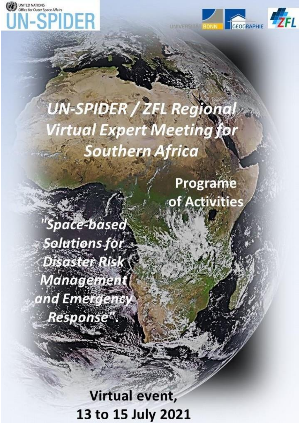



# UN-SPIDER / ZEL Regional **Virtual Expert Meeting for Southern Africa**

Programe of Activities

"Space-based Solutions for Disaster Risk **Management** and Emergency **Response**".

> Virtual event, 13 to 15 July 2021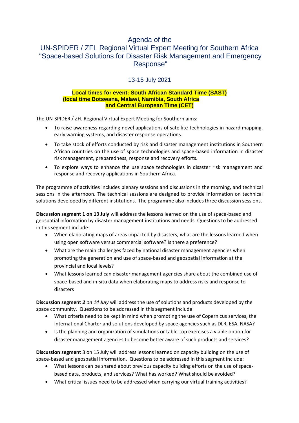# Agenda of the

# UN-SPIDER / ZFL Regional Virtual Expert Meeting for Southern Africa "Space-based Solutions for Disaster Risk Management and Emergency Response"

13-15 July 2021

#### **Local times for event: South African Standard Time (SAST) (local time Botswana, Malawi, Namibia, South Africa and Central European Time (CET)**

The UN-SPIDER / ZFL Regional Virtual Expert Meeting for Southern aims:

- To raise awareness regarding novel applications of satellite technologies in hazard mapping, early warning systems, and disaster response operations.
- To take stock of efforts conducted by risk and disaster management institutions in Southern African countries on the use of space technologies and space-based information in disaster risk management, preparedness, response and recovery efforts.
- To explore ways to enhance the use space technologies in disaster risk management and response and recovery applications in Southern Africa.

The programme of activities includes plenary sessions and discussions in the morning, and technical sessions in the afternoon. The technical sessions are designed to provide information on technical solutions developed by different institutions. The programme also includes three discussion sessions.

**Discussion segment 1 on 13 July** will address the lessons learned on the use of space-based and geospatial information by disaster management institutions and needs. Questions to be addressed in this segment include:

- When elaborating maps of areas impacted by disasters, what are the lessons learned when using open software versus commercial software? Is there a preference?
- What are the main challenges faced by national disaster management agencies when promoting the generation and use of space-based and geospatial information at the provincial and local levels?
- What lessons learned can disaster management agencies share about the combined use of space-based and in-situ data when elaborating maps to address risks and response to disasters

**Discussion segment** *2 on 14 July* will address the use of solutions and products developed by the space community. Questions to be addressed in this segment include:

- What criteria need to be kept in mind when promoting the use of Copernicus services, the International Charter and solutions developed by space agencies such as DLR, ESA, NASA?
- Is the planning and organization of simulations or table-top exercises a viable option for disaster management agencies to become better aware of such products and services?

**Discussion segment** 3 on 15 July will address lessons learned on capacity building on the use of space-based and geospatial information. Questions to be addressed in this segment include:

- What lessons can be shared about previous capacity building efforts on the use of spacebased data, products, and services? What has worked? What should be avoided?
- What critical issues need to be addressed when carrying our virtual training activities?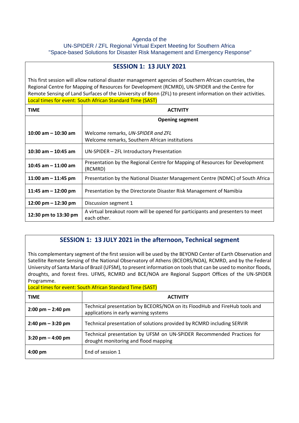#### Agenda of the

UN-SPIDER / ZFL Regional Virtual Expert Meeting for Southern Africa "Space-based Solutions for Disaster Risk Management and Emergency Response"

| <b>SESSION 1: 13 JULY 2021</b>                                                                                                                                                                                                                                                                                                                                                       |                                                                                               |  |
|--------------------------------------------------------------------------------------------------------------------------------------------------------------------------------------------------------------------------------------------------------------------------------------------------------------------------------------------------------------------------------------|-----------------------------------------------------------------------------------------------|--|
| This first session will allow national disaster management agencies of Southern African countries, the<br>Regional Centre for Mapping of Resources for Development (RCMRD), UN-SPIDER and the Centre for<br>Remote Sensing of Land Surfaces of the University of Bonn (ZFL) to present information on their activities.<br>Local times for event: South African Standard Time (SAST) |                                                                                               |  |
| <b>TIME</b>                                                                                                                                                                                                                                                                                                                                                                          | <b>ACTIVITY</b>                                                                               |  |
|                                                                                                                                                                                                                                                                                                                                                                                      | <b>Opening segment</b>                                                                        |  |
| 10:00 am $-$ 10:30 am                                                                                                                                                                                                                                                                                                                                                                | Welcome remarks, UN-SPIDER and ZFL<br>Welcome remarks, Southern African institutions          |  |
| 10:30 am $-$ 10:45 am                                                                                                                                                                                                                                                                                                                                                                | UN-SPIDER - ZFL Introductory Presentation                                                     |  |
| 10:45 am $-$ 11:00 am                                                                                                                                                                                                                                                                                                                                                                | Presentation by the Regional Centre for Mapping of Resources for Development<br>(RCMRD)       |  |
| 11:00 am $-$ 11:45 pm                                                                                                                                                                                                                                                                                                                                                                | Presentation by the National Disaster Management Centre (NDMC) of South Africa                |  |
| 11:45 am $-$ 12:00 pm                                                                                                                                                                                                                                                                                                                                                                | Presentation by the Directorate Disaster Risk Management of Namibia                           |  |
| 12:00 pm $-$ 12:30 pm                                                                                                                                                                                                                                                                                                                                                                | Discussion segment 1                                                                          |  |
| 12:30 pm to 13:30 pm                                                                                                                                                                                                                                                                                                                                                                 | A virtual breakout room will be opened for participants and presenters to meet<br>each other. |  |

## **SESSION 1: 13 JULY 2021 in the afternoon, Technical segment**

This complementary segment of the first session will be used by the BEYOND Center of Earth Observation and Satellite Remote Sensing of the National Observatory of Athens (BCEORS/NOA), RCMRD, and by the Federal University of Santa Maria of Brazil (UFSM), to present information on toolsthat can be used to monitor floods, droughts, and forest fires. UFMS, RCMRD and BCE/NOA are Regional Support Offices of the UN-SPIDER Programme.

Local times for event: South African Standard Time (SAST)

| <b>TIME</b>                         | <b>ACTIVITY</b>                                                                                                     |
|-------------------------------------|---------------------------------------------------------------------------------------------------------------------|
| $2:00 \text{ pm} - 2:40 \text{ pm}$ | Technical presentation by BCEORS/NOA on its FloodHub and FireHub tools and<br>applications in early warning systems |
| $2:40 \text{ pm} - 3:20 \text{ pm}$ | Technical presentation of solutions provided by RCMRD including SERVIR                                              |
| $3:20 \text{ pm} - 4:00 \text{ pm}$ | Technical presentation by UFSM on UN-SPIDER Recommended Practices for<br>drought monitoring and flood mapping       |
| $4:00$ pm                           | End of session 1                                                                                                    |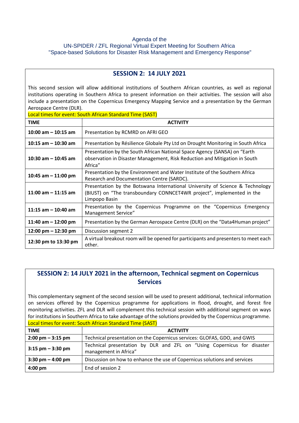#### Agenda of the UN-SPIDER / ZFL Regional Virtual Expert Meeting for Southern Africa "Space-based Solutions for Disaster Risk Management and Emergency Response"

### **SESSION 2: 14 JULY 2021**

This second session will allow additional institutions of Southern African countries, as well as regional institutions operating in Southern Africa to present information on their activities. The session will also include a presentation on the Copernicus Emergency Mapping Service and a presentation by the German Aerospace Centre (DLR).

Local times for event: South African Standard Time (SAST)

| <b>TIME</b>                           | <b>ACTIVITY</b>                                                                                                                                                         |
|---------------------------------------|-------------------------------------------------------------------------------------------------------------------------------------------------------------------------|
| 10:00 am $-$ 10:15 am                 | Presentation by RCMRD on AFRI GEO                                                                                                                                       |
| 10:15 am $-$ 10:30 am                 | Presentation by Résilience Globale Pty Ltd on Drought Monitoring in South Africa                                                                                        |
| 10:30 am $-$ 10:45 am                 | Presentation by the South African National Space Agency (SANSA) on "Earth<br>observation in Disaster Management, Risk Reduction and Mitigation in South<br>Africa"      |
| 10:45 am $-$ 11:00 pm                 | Presentation by the Environment and Water Institute of the Southern Africa<br>Research and Documentation Centre (SARDC).                                                |
| 11:00 am $-$ 11:15 am                 | Presentation by the Botswana International University of Science & Technology<br>(BIUST) on "The transboundary CONNCET4WR project", implemented in the<br>Limpopo Basin |
| 11:15 am $-$ 10:40 am                 | Presentation by the Copernicus Programme on the "Copernicus Emergency<br>Management Service"                                                                            |
| 11:40 am $-$ 12:00 pm                 | Presentation by the German Aerospace Centre (DLR) on the "Data4Human project"                                                                                           |
| $12:00 \text{ pm} - 12:30 \text{ pm}$ | Discussion segment 2                                                                                                                                                    |
| 12:30 pm to 13:30 pm                  | A virtual breakout room will be opened for participants and presenters to meet each<br>other.                                                                           |

## **SESSION 2: 14 JULY 2021 in the afternoon, Technical segment on Copernicus Services**

This complementary segment of the second session will be used to present additional, technical information on services offered by the Copernicus programme for applications in flood, drought, and forest fire monitoring activities. ZFL and DLR will complement this technical session with additional segment on ways for institutions in Southern Africa to take advantage of the solutions provided by the Copernicus programme. Local times for event: South African Standard Time (SAST)

| <b>TIME</b>                         | <b>ACTIVITY</b>                                                                                  |
|-------------------------------------|--------------------------------------------------------------------------------------------------|
| $2:00 \text{ pm} - 3:15 \text{ pm}$ | Technical presentation on the Copernicus services: GLOFAS, GDO, and GWIS                         |
| $3:15$ pm $-3:30$ pm                | Technical presentation by DLR and ZFL on "Using Copernicus for disaster<br>management in Africa" |
| $3:30 \text{ pm} - 4:00 \text{ pm}$ | Discussion on how to enhance the use of Copernicus solutions and services                        |
| $4:00 \text{ pm}$                   | End of session 2                                                                                 |